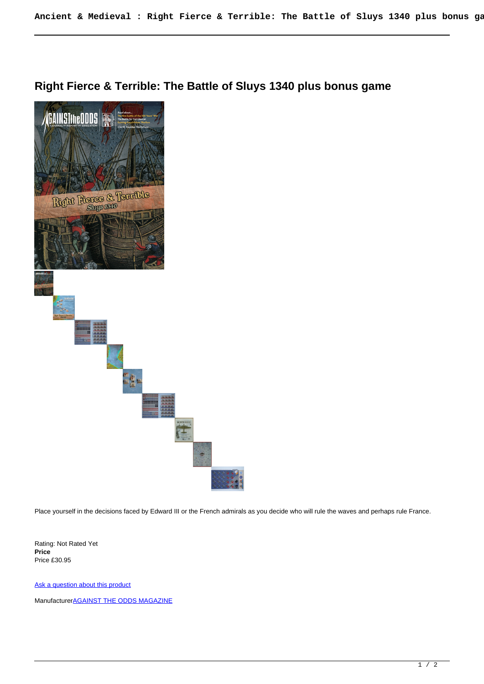## **Right Fierce & Terrible: The Battle of Sluys 1340 plus bonus game**



Place yourself in the decisions faced by Edward III or the French admirals as you decide who will rule the waves and perhaps rule France.

Rating: Not Rated Yet **Price**  Price £30.95

[Ask a question about this product](https://www.secondchancegames.com/index.php?option=com_virtuemart&view=productdetails&task=askquestion&virtuemart_product_id=3148&virtuemart_category_id=8&tmpl=component)

Manufacturer**[AGAINST THE ODDS MAGAZINE](https://www.secondchancegames.com/index.php?option=com_virtuemart&view=manufacturer&virtuemart_manufacturer_id=2567&tmpl=component)**